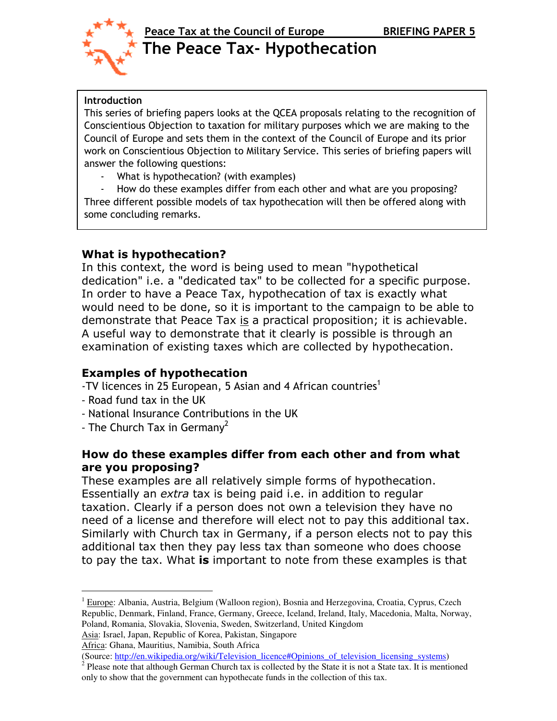

Peace Tax at the Council of Europe BRIEFING PAPER 5

# The Peace Tax- Hypothecation

#### Introduction

This series of briefing papers looks at the QCEA proposals relating to the recognition of Conscientious Objection to taxation for military purposes which we are making to the Council of Europe and sets them in the context of the Council of Europe and its prior work on Conscientious Objection to Military Service. This series of briefing papers will answer the following questions:

What is hypothecation? (with examples)

- How do these examples differ from each other and what are you proposing? Three different possible models of tax hypothecation will then be offered along with

some concluding remarks.

# What is hypothecation?

In this context, the word is being used to mean "hypothetical dedication" i.e. a "dedicated tax" to be collected for a specific purpose. In order to have a Peace Tax, hypothecation of tax is exactly what would need to be done, so it is important to the campaign to be able to demonstrate that Peace Tax is a practical proposition; it is achievable. A useful way to demonstrate that it clearly is possible is through an examination of existing taxes which are collected by hypothecation.

# Examples of hypothecation

-TV licences in 25 European, 5 Asian and 4 African countries<sup>1</sup>

- Road fund tax in the UK

L

- National Insurance Contributions in the UK
- The Church Tax in Germany<sup>2</sup>

# How do these examples differ from each other and from what are you proposing?

These examples are all relatively simple forms of hypothecation. Essentially an extra tax is being paid i.e. in addition to regular taxation. Clearly if a person does not own a television they have no need of a license and therefore will elect not to pay this additional tax. Similarly with Church tax in Germany, if a person elects not to pay this additional tax then they pay less tax than someone who does choose to pay the tax. What **is** important to note from these examples is that

Africa: Ghana, Mauritius, Namibia, South Africa

<sup>&</sup>lt;sup>1</sup> Europe: Albania, Austria, Belgium (Walloon region), Bosnia and Herzegovina, Croatia, Cyprus, Czech Republic, Denmark, Finland, France, Germany, Greece, Iceland, Ireland, Italy, Macedonia, Malta, Norway, Poland, Romania, Slovakia, Slovenia, Sweden, Switzerland, United Kingdom

Asia: Israel, Japan, Republic of Korea, Pakistan, Singapore

<sup>(</sup>Source: http://en.wikipedia.org/wiki/Television\_licence#Opinions\_of\_television\_licensing\_systems)

 $2$  Please note that although German Church tax is collected by the State it is not a State tax. It is mentioned only to show that the government can hypothecate funds in the collection of this tax.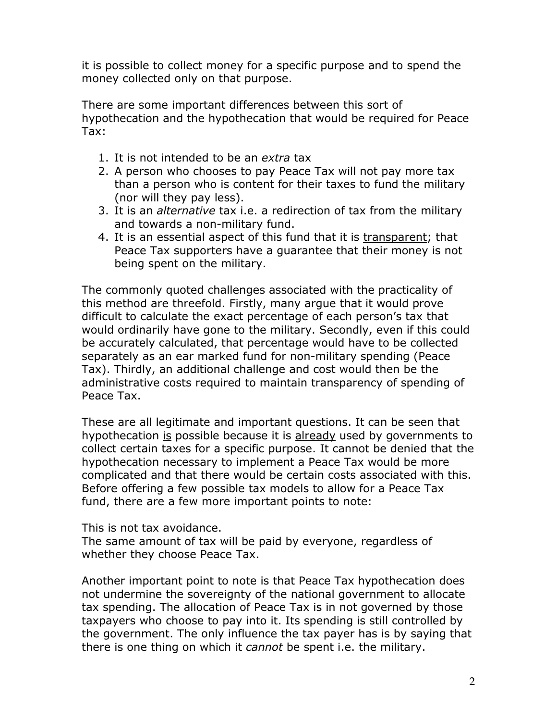it is possible to collect money for a specific purpose and to spend the money collected only on that purpose.

There are some important differences between this sort of hypothecation and the hypothecation that would be required for Peace Tax:

- 1. It is not intended to be an extra tax
- 2. A person who chooses to pay Peace Tax will not pay more tax than a person who is content for their taxes to fund the military (nor will they pay less).
- 3. It is an alternative tax i.e. a redirection of tax from the military and towards a non-military fund.
- 4. It is an essential aspect of this fund that it is transparent; that Peace Tax supporters have a guarantee that their money is not being spent on the military.

The commonly quoted challenges associated with the practicality of this method are threefold. Firstly, many argue that it would prove difficult to calculate the exact percentage of each person's tax that would ordinarily have gone to the military. Secondly, even if this could be accurately calculated, that percentage would have to be collected separately as an ear marked fund for non-military spending (Peace Tax). Thirdly, an additional challenge and cost would then be the administrative costs required to maintain transparency of spending of Peace Tax.

These are all legitimate and important questions. It can be seen that hypothecation is possible because it is already used by governments to collect certain taxes for a specific purpose. It cannot be denied that the hypothecation necessary to implement a Peace Tax would be more complicated and that there would be certain costs associated with this. Before offering a few possible tax models to allow for a Peace Tax fund, there are a few more important points to note:

This is not tax avoidance.

The same amount of tax will be paid by everyone, regardless of whether they choose Peace Tax.

Another important point to note is that Peace Tax hypothecation does not undermine the sovereignty of the national government to allocate tax spending. The allocation of Peace Tax is in not governed by those taxpayers who choose to pay into it. Its spending is still controlled by the government. The only influence the tax payer has is by saying that there is one thing on which it *cannot* be spent i.e. the military.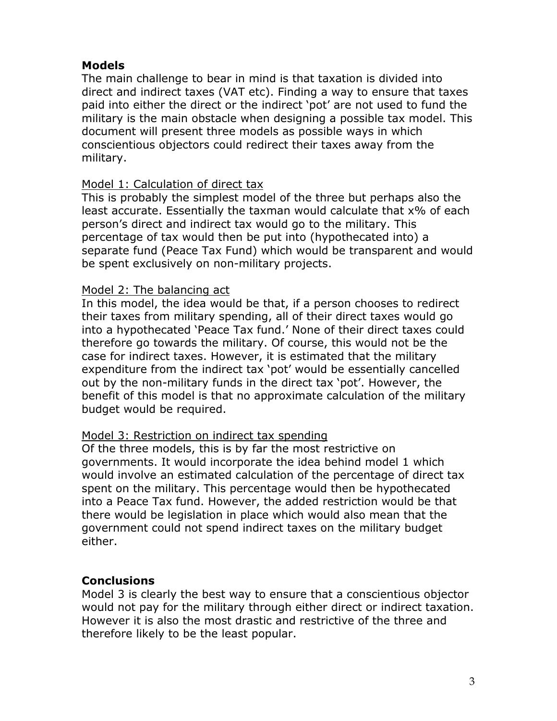## Models

The main challenge to bear in mind is that taxation is divided into direct and indirect taxes (VAT etc). Finding a way to ensure that taxes paid into either the direct or the indirect 'pot' are not used to fund the military is the main obstacle when designing a possible tax model. This document will present three models as possible ways in which conscientious objectors could redirect their taxes away from the military.

## Model 1: Calculation of direct tax

This is probably the simplest model of the three but perhaps also the least accurate. Essentially the taxman would calculate that x% of each person's direct and indirect tax would go to the military. This percentage of tax would then be put into (hypothecated into) a separate fund (Peace Tax Fund) which would be transparent and would be spent exclusively on non-military projects.

## Model 2: The balancing act

In this model, the idea would be that, if a person chooses to redirect their taxes from military spending, all of their direct taxes would go into a hypothecated 'Peace Tax fund.' None of their direct taxes could therefore go towards the military. Of course, this would not be the case for indirect taxes. However, it is estimated that the military expenditure from the indirect tax 'pot' would be essentially cancelled out by the non-military funds in the direct tax 'pot'. However, the benefit of this model is that no approximate calculation of the military budget would be required.

## Model 3: Restriction on indirect tax spending

Of the three models, this is by far the most restrictive on governments. It would incorporate the idea behind model 1 which would involve an estimated calculation of the percentage of direct tax spent on the military. This percentage would then be hypothecated into a Peace Tax fund. However, the added restriction would be that there would be legislation in place which would also mean that the government could not spend indirect taxes on the military budget either.

# **Conclusions**

Model 3 is clearly the best way to ensure that a conscientious objector would not pay for the military through either direct or indirect taxation. However it is also the most drastic and restrictive of the three and therefore likely to be the least popular.